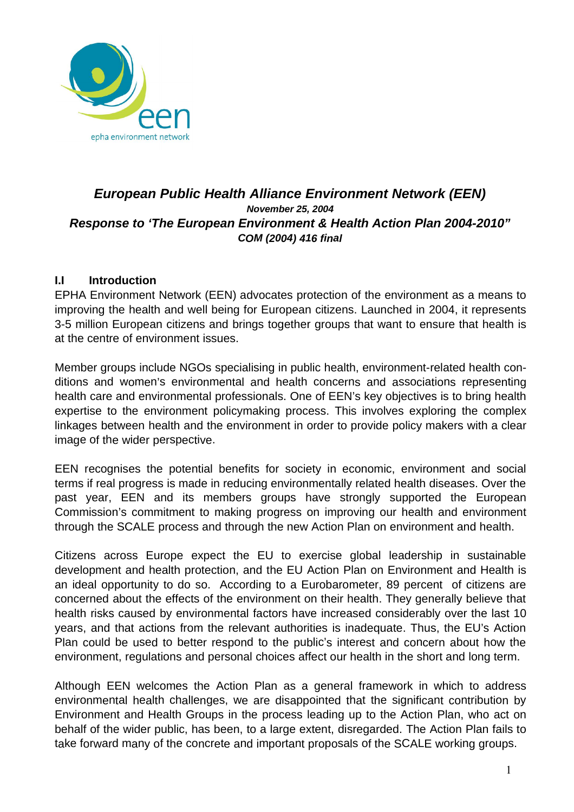

# **European Public Health Alliance Environment Network (EEN) November 25, 2004 Response to 'The European Environment & Health Action Plan 2004-2010" COM (2004) 416 final**

# **I.I Introduction**

EPHA Environment Network (EEN) advocates protection of the environment as a means to improving the health and well being for European citizens. Launched in 2004, it represents 3-5 million European citizens and brings together groups that want to ensure that health is at the centre of environment issues.

Member groups include NGOs specialising in public health, environment-related health conditions and women's environmental and health concerns and associations representing health care and environmental professionals. One of EEN's key objectives is to bring health expertise to the environment policymaking process. This involves exploring the complex linkages between health and the environment in order to provide policy makers with a clear image of the wider perspective.

EEN recognises the potential benefits for society in economic, environment and social terms if real progress is made in reducing environmentally related health diseases. Over the past year, EEN and its members groups have strongly supported the European Commission's commitment to making progress on improving our health and environment through the SCALE process and through the new Action Plan on environment and health.

Citizens across Europe expect the EU to exercise global leadership in sustainable development and health protection, and the EU Action Plan on Environment and Health is an ideal opportunity to do so. According to a Eurobarometer, 89 percent of citizens are concerned about the effects of the environment on their health. They generally believe that health risks caused by environmental factors have increased considerably over the last 10 years, and that actions from the relevant authorities is inadequate. Thus, the EU's Action Plan could be used to better respond to the public's interest and concern about how the environment, regulations and personal choices affect our health in the short and long term.

Although EEN welcomes the Action Plan as a general framework in which to address environmental health challenges, we are disappointed that the significant contribution by Environment and Health Groups in the process leading up to the Action Plan, who act on behalf of the wider public, has been, to a large extent, disregarded. The Action Plan fails to take forward many of the concrete and important proposals of the SCALE working groups.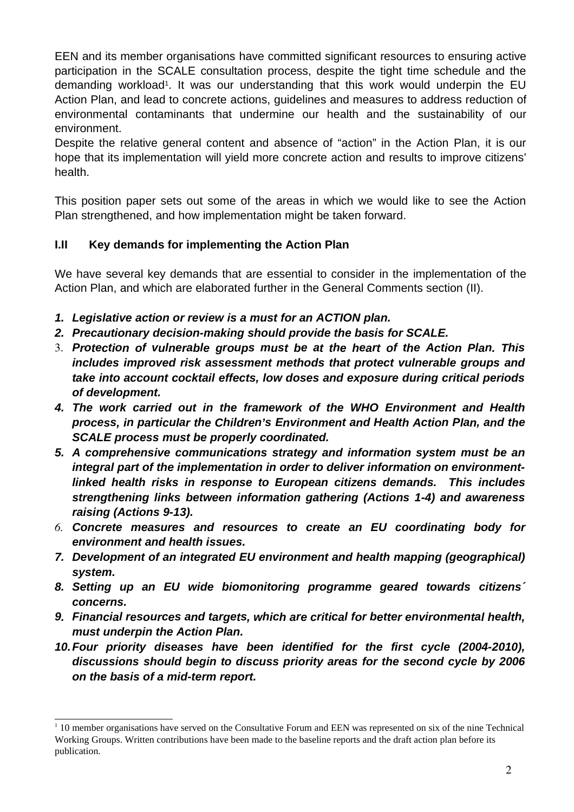EEN and its member organisations have committed significant resources to ensuring active participation in the SCALE consultation process, despite the tight time schedule and the demanding workload<sup>1</sup>. It was our understanding that this work would underpin the EU Action Plan, and lead to concrete actions, guidelines and measures to address reduction of environmental contaminants that undermine our health and the sustainability of our environment.

Despite the relative general content and absence of "action" in the Action Plan, it is our hope that its implementation will yield more concrete action and results to improve citizens' health.

This position paper sets out some of the areas in which we would like to see the Action Plan strengthened, and how implementation might be taken forward.

# **I.II Key demands for implementing the Action Plan**

We have several key demands that are essential to consider in the implementation of the Action Plan, and which are elaborated further in the General Comments section (II).

- **1. Legislative action or review is a must for an ACTION plan.**
- **2. Precautionary decision-making should provide the basis for SCALE.**
- 3. **Protection of vulnerable groups must be at the heart of the Action Plan. This includes improved risk assessment methods that protect vulnerable groups and take into account cocktail effects, low doses and exposure during critical periods of development.**
- **4. The work carried out in the framework of the WHO Environment and Health process, in particular the Children's Environment and Health Action Plan, and the SCALE process must be properly coordinated.**
- **5. A comprehensive communications strategy and information system must be an integral part of the implementation in order to deliver information on environmentlinked health risks in response to European citizens demands. This includes strengthening links between information gathering (Actions 1-4) and awareness raising (Actions 9-13).**
- *6.* **Concrete measures and resources to create an EU coordinating body for environment and health issues.**
- **7. Development of an integrated EU environment and health mapping (geographical) system.**
- **8. Setting up an EU wide biomonitoring programme geared towards citizens´ concerns.**
- **9. Financial resources and targets, which are critical for better environmental health, must underpin the Action Plan.**
- **10.Four priority diseases have been identified for the first cycle (2004-2010), discussions should begin to discuss priority areas for the second cycle by 2006 on the basis of a mid-term report.**

<sup>&</sup>lt;sup>1</sup> 10 member organisations have served on the Consultative Forum and EEN was represented on six of the nine Technical Working Groups. Written contributions have been made to the baseline reports and the draft action plan before its publication.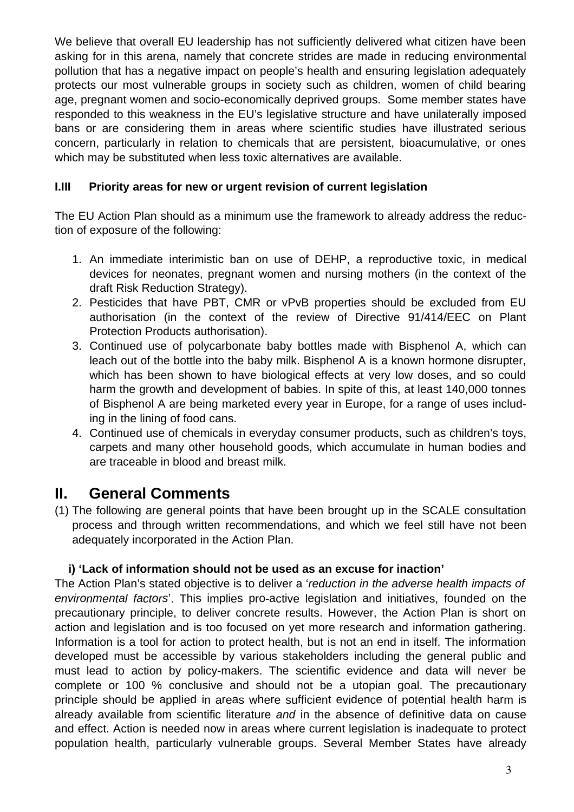We believe that overall EU leadership has not sufficiently delivered what citizen have been asking for in this arena, namely that concrete strides are made in reducing environmental pollution that has a negative impact on people's health and ensuring legislation adequately protects our most vulnerable groups in society such as children, women of child bearing age, pregnant women and socio-economically deprived groups. Some member states have responded to this weakness in the EU's legislative structure and have unilaterally imposed bans or are considering them in areas where scientific studies have illustrated serious concern, particularly in relation to chemicals that are persistent, bioacumulative, or ones which may be substituted when less toxic alternatives are available.

# **I.III Priority areas for new or urgent revision of current legislation**

The EU Action Plan should as a minimum use the framework to already address the reduction of exposure of the following:

- 1. An immediate interimistic ban on use of DEHP, a reproductive toxic, in medical devices for neonates, pregnant women and nursing mothers (in the context of the draft Risk Reduction Strategy).
- 2. Pesticides that have PBT, CMR or vPvB properties should be excluded from EU authorisation (in the context of the review of Directive 91/414/EEC on Plant Protection Products authorisation).
- 3. Continued use of polycarbonate baby bottles made with Bisphenol A, which can leach out of the bottle into the baby milk. Bisphenol A is a known hormone disrupter, which has been shown to have biological effects at very low doses, and so could harm the growth and development of babies. In spite of this, at least 140,000 tonnes of Bisphenol A are being marketed every year in Europe, for a range of uses including in the lining of food cans.
- 4. Continued use of chemicals in everyday consumer products, such as children's toys, carpets and many other household goods, which accumulate in human bodies and are traceable in blood and breast milk.

# **II. General Comments**

(1) The following are general points that have been brought up in the SCALE consultation process and through written recommendations, and which we feel still have not been adequately incorporated in the Action Plan.

# **i) 'Lack of information should not be used as an excuse for inaction'**

The Action Plan's stated objective is to deliver a 'reduction in the adverse health impacts of environmental factors'. This implies pro-active legislation and initiatives, founded on the precautionary principle, to deliver concrete results. However, the Action Plan is short on action and legislation and is too focused on yet more research and information gathering. Information is a tool for action to protect health, but is not an end in itself. The information developed must be accessible by various stakeholders including the general public and must lead to action by policy-makers. The scientific evidence and data will never be complete or 100 % conclusive and should not be a utopian goal. The precautionary principle should be applied in areas where sufficient evidence of potential health harm is already available from scientific literature and in the absence of definitive data on cause and effect. Action is needed now in areas where current legislation is inadequate to protect population health, particularly vulnerable groups. Several Member States have already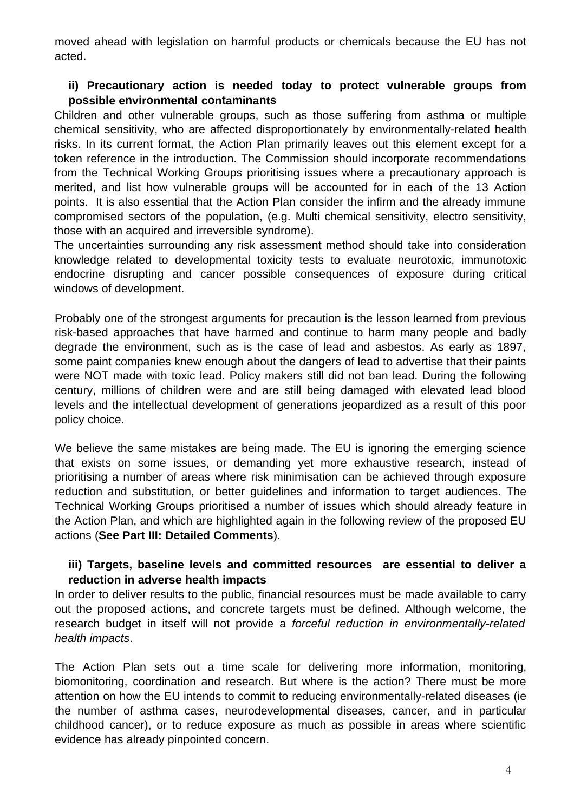moved ahead with legislation on harmful products or chemicals because the EU has not acted.

## **ii) Precautionary action is needed today to protect vulnerable groups from possible environmental contaminants**

Children and other vulnerable groups, such as those suffering from asthma or multiple chemical sensitivity, who are affected disproportionately by environmentally-related health risks. In its current format, the Action Plan primarily leaves out this element except for a token reference in the introduction. The Commission should incorporate recommendations from the Technical Working Groups prioritising issues where a precautionary approach is merited, and list how vulnerable groups will be accounted for in each of the 13 Action points. It is also essential that the Action Plan consider the infirm and the already immune compromised sectors of the population, (e.g. Multi chemical sensitivity, electro sensitivity, those with an acquired and irreversible syndrome).

The uncertainties surrounding any risk assessment method should take into consideration knowledge related to developmental toxicity tests to evaluate neurotoxic, immunotoxic endocrine disrupting and cancer possible consequences of exposure during critical windows of development.

Probably one of the strongest arguments for precaution is the lesson learned from previous risk-based approaches that have harmed and continue to harm many people and badly degrade the environment, such as is the case of lead and asbestos. As early as 1897, some paint companies knew enough about the dangers of lead to advertise that their paints were NOT made with toxic lead. Policy makers still did not ban lead. During the following century, millions of children were and are still being damaged with elevated lead blood levels and the intellectual development of generations jeopardized as a result of this poor policy choice.

We believe the same mistakes are being made. The EU is ignoring the emerging science that exists on some issues, or demanding yet more exhaustive research, instead of prioritising a number of areas where risk minimisation can be achieved through exposure reduction and substitution, or better guidelines and information to target audiences. The Technical Working Groups prioritised a number of issues which should already feature in the Action Plan, and which are highlighted again in the following review of the proposed EU actions (**See Part III: Detailed Comments**).

## **iii) Targets, baseline levels and committed resources are essential to deliver a reduction in adverse health impacts**

In order to deliver results to the public, financial resources must be made available to carry out the proposed actions, and concrete targets must be defined. Although welcome, the research budget in itself will not provide a forceful reduction in environmentally-related health impacts.

The Action Plan sets out a time scale for delivering more information, monitoring, biomonitoring, coordination and research. But where is the action? There must be more attention on how the EU intends to commit to reducing environmentally-related diseases (ie the number of asthma cases, neurodevelopmental diseases, cancer, and in particular childhood cancer), or to reduce exposure as much as possible in areas where scientific evidence has already pinpointed concern.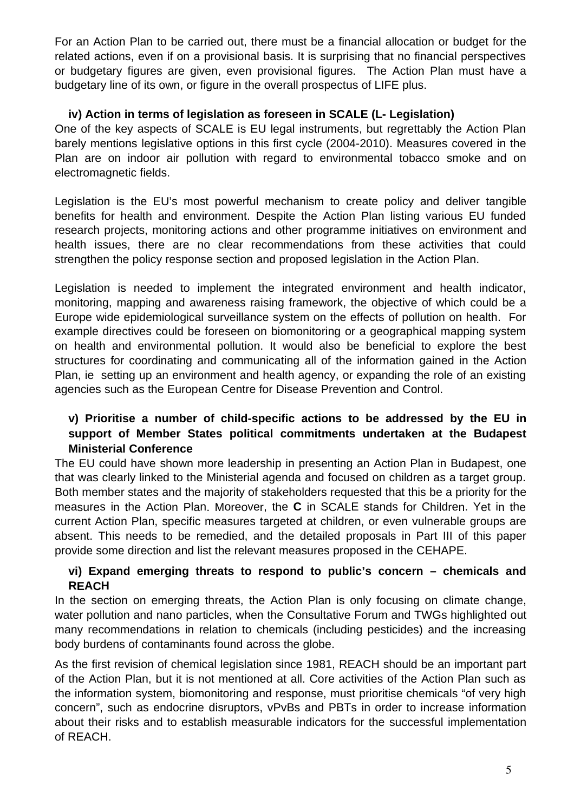For an Action Plan to be carried out, there must be a financial allocation or budget for the related actions, even if on a provisional basis. It is surprising that no financial perspectives or budgetary figures are given, even provisional figures. The Action Plan must have a budgetary line of its own, or figure in the overall prospectus of LIFE plus.

# **iv) Action in terms of legislation as foreseen in SCALE (L- Legislation)**

One of the key aspects of SCALE is EU legal instruments, but regrettably the Action Plan barely mentions legislative options in this first cycle (2004-2010). Measures covered in the Plan are on indoor air pollution with regard to environmental tobacco smoke and on electromagnetic fields.

Legislation is the EU's most powerful mechanism to create policy and deliver tangible benefits for health and environment. Despite the Action Plan listing various EU funded research projects, monitoring actions and other programme initiatives on environment and health issues, there are no clear recommendations from these activities that could strengthen the policy response section and proposed legislation in the Action Plan.

Legislation is needed to implement the integrated environment and health indicator, monitoring, mapping and awareness raising framework, the objective of which could be a Europe wide epidemiological surveillance system on the effects of pollution on health. For example directives could be foreseen on biomonitoring or a geographical mapping system on health and environmental pollution. It would also be beneficial to explore the best structures for coordinating and communicating all of the information gained in the Action Plan, ie setting up an environment and health agency, or expanding the role of an existing agencies such as the European Centre for Disease Prevention and Control.

# **v) Prioritise a number of child-specific actions to be addressed by the EU in support of Member States political commitments undertaken at the Budapest Ministerial Conference**

The EU could have shown more leadership in presenting an Action Plan in Budapest, one that was clearly linked to the Ministerial agenda and focused on children as a target group. Both member states and the majority of stakeholders requested that this be a priority for the measures in the Action Plan. Moreover, the **C** in SCALE stands for Children. Yet in the current Action Plan, specific measures targeted at children, or even vulnerable groups are absent. This needs to be remedied, and the detailed proposals in Part III of this paper provide some direction and list the relevant measures proposed in the CEHAPE.

# **vi) Expand emerging threats to respond to public's concern – chemicals and REACH**

In the section on emerging threats, the Action Plan is only focusing on climate change, water pollution and nano particles, when the Consultative Forum and TWGs highlighted out many recommendations in relation to chemicals (including pesticides) and the increasing body burdens of contaminants found across the globe.

As the first revision of chemical legislation since 1981, REACH should be an important part of the Action Plan, but it is not mentioned at all. Core activities of the Action Plan such as the information system, biomonitoring and response, must prioritise chemicals "of very high concern", such as endocrine disruptors, vPvBs and PBTs in order to increase information about their risks and to establish measurable indicators for the successful implementation of REACH.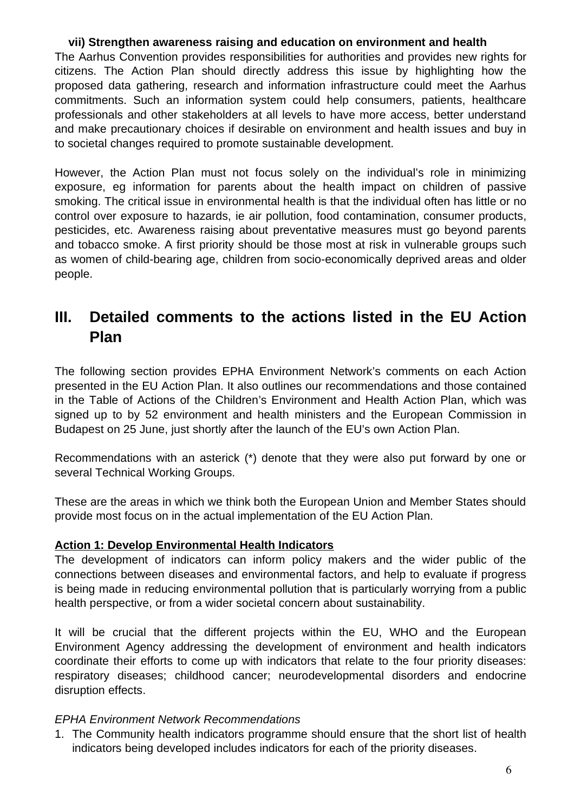# **vii) Strengthen awareness raising and education on environment and health**

The Aarhus Convention provides responsibilities for authorities and provides new rights for citizens. The Action Plan should directly address this issue by highlighting how the proposed data gathering, research and information infrastructure could meet the Aarhus commitments. Such an information system could help consumers, patients, healthcare professionals and other stakeholders at all levels to have more access, better understand and make precautionary choices if desirable on environment and health issues and buy in to societal changes required to promote sustainable development.

However, the Action Plan must not focus solely on the individual's role in minimizing exposure, eg information for parents about the health impact on children of passive smoking. The critical issue in environmental health is that the individual often has little or no control over exposure to hazards, ie air pollution, food contamination, consumer products, pesticides, etc. Awareness raising about preventative measures must go beyond parents and tobacco smoke. A first priority should be those most at risk in vulnerable groups such as women of child-bearing age, children from socio-economically deprived areas and older people.

# **III. Detailed comments to the actions listed in the EU Action Plan**

The following section provides EPHA Environment Network's comments on each Action presented in the EU Action Plan. It also outlines our recommendations and those contained in the Table of Actions of the Children's Environment and Health Action Plan, which was signed up to by 52 environment and health ministers and the European Commission in Budapest on 25 June, just shortly after the launch of the EU's own Action Plan.

Recommendations with an asterick (\*) denote that they were also put forward by one or several Technical Working Groups.

These are the areas in which we think both the European Union and Member States should provide most focus on in the actual implementation of the EU Action Plan.

## **Action 1: Develop Environmental Health Indicators**

The development of indicators can inform policy makers and the wider public of the connections between diseases and environmental factors, and help to evaluate if progress is being made in reducing environmental pollution that is particularly worrying from a public health perspective, or from a wider societal concern about sustainability.

It will be crucial that the different projects within the EU, WHO and the European Environment Agency addressing the development of environment and health indicators coordinate their efforts to come up with indicators that relate to the four priority diseases: respiratory diseases; childhood cancer; neurodevelopmental disorders and endocrine disruption effects.

## EPHA Environment Network Recommendations

1. The Community health indicators programme should ensure that the short list of health indicators being developed includes indicators for each of the priority diseases.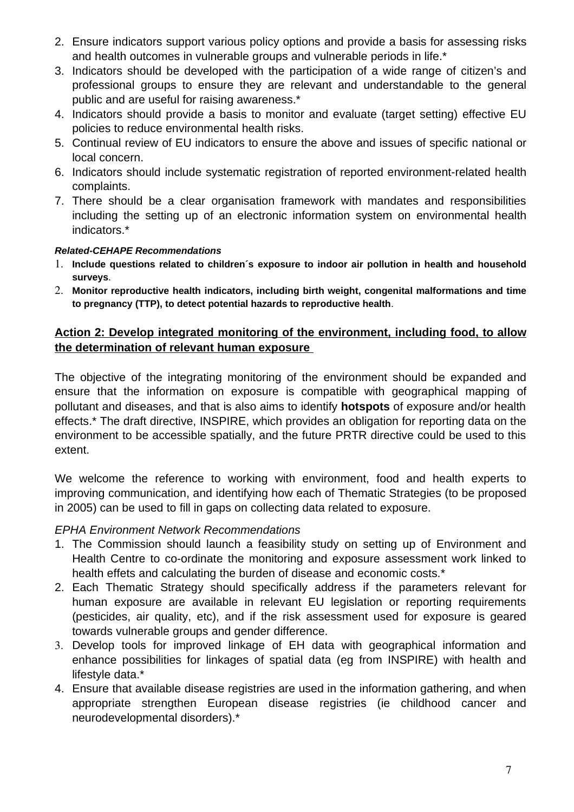- 2. Ensure indicators support various policy options and provide a basis for assessing risks and health outcomes in vulnerable groups and vulnerable periods in life.\*
- 3. Indicators should be developed with the participation of a wide range of citizen's and professional groups to ensure they are relevant and understandable to the general public and are useful for raising awareness.\*
- 4. Indicators should provide a basis to monitor and evaluate (target setting) effective EU policies to reduce environmental health risks.
- 5. Continual review of EU indicators to ensure the above and issues of specific national or local concern.
- 6. Indicators should include systematic registration of reported environment-related health complaints.
- 7. There should be a clear organisation framework with mandates and responsibilities including the setting up of an electronic information system on environmental health indicators.\*

## **Related-CEHAPE Recommendations**

- 1. **Include questions related to children´s exposure to indoor air pollution in health and household surveys**.
- 2. **Monitor reproductive health indicators, including birth weight, congenital malformations and time to pregnancy (TTP), to detect potential hazards to reproductive health**.

## **Action 2: Develop integrated monitoring of the environment, including food, to allow the determination of relevant human exposure**

The objective of the integrating monitoring of the environment should be expanded and ensure that the information on exposure is compatible with geographical mapping of pollutant and diseases, and that is also aims to identify **hotspots** of exposure and/or health effects.\* The draft directive, INSPIRE, which provides an obligation for reporting data on the environment to be accessible spatially, and the future PRTR directive could be used to this extent.

We welcome the reference to working with environment, food and health experts to improving communication, and identifying how each of Thematic Strategies (to be proposed in 2005) can be used to fill in gaps on collecting data related to exposure.

## EPHA Environment Network Recommendations

- 1. The Commission should launch a feasibility study on setting up of Environment and Health Centre to co-ordinate the monitoring and exposure assessment work linked to health effets and calculating the burden of disease and economic costs.<sup>\*</sup>
- 2. Each Thematic Strategy should specifically address if the parameters relevant for human exposure are available in relevant EU legislation or reporting requirements (pesticides, air quality, etc), and if the risk assessment used for exposure is geared towards vulnerable groups and gender difference.
- 3. Develop tools for improved linkage of EH data with geographical information and enhance possibilities for linkages of spatial data (eg from INSPIRE) with health and lifestyle data.\*
- 4. Ensure that available disease registries are used in the information gathering, and when appropriate strengthen European disease registries (ie childhood cancer and neurodevelopmental disorders).\*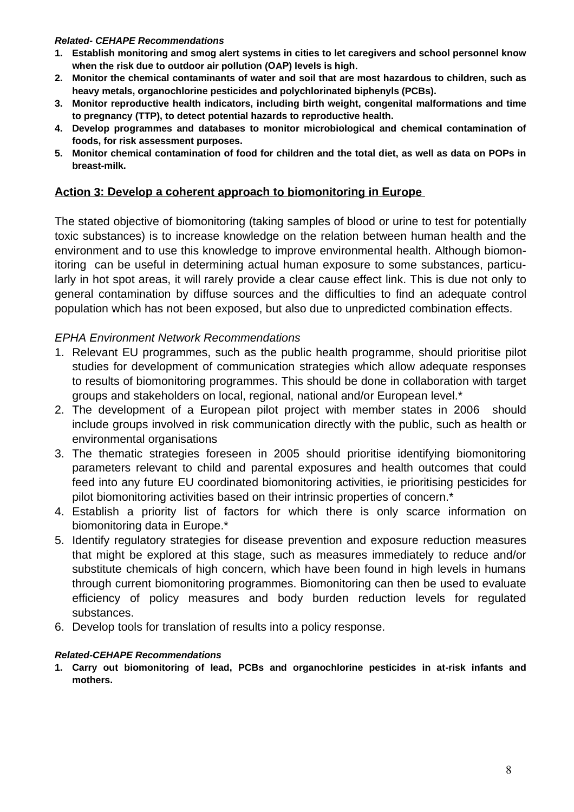#### **Related- CEHAPE Recommendations**

- **1. Establish monitoring and smog alert systems in cities to let caregivers and school personnel know when the risk due to outdoor air pollution (OAP) levels is high.**
- **2. Monitor the chemical contaminants of water and soil that are most hazardous to children, such as heavy metals, organochlorine pesticides and polychlorinated biphenyls (PCBs).**
- **3. Monitor reproductive health indicators, including birth weight, congenital malformations and time to pregnancy (TTP), to detect potential hazards to reproductive health.**
- **4. Develop programmes and databases to monitor microbiological and chemical contamination of foods, for risk assessment purposes.**
- 5. Monitor chemical contamination of food for children and the total diet, as well as data on POPs in **breast-milk.**

## **Action 3: Develop a coherent approach to biomonitoring in Europe**

The stated objective of biomonitoring (taking samples of blood or urine to test for potentially toxic substances) is to increase knowledge on the relation between human health and the environment and to use this knowledge to improve environmental health. Although biomonitoring can be useful in determining actual human exposure to some substances, particularly in hot spot areas, it will rarely provide a clear cause effect link. This is due not only to general contamination by diffuse sources and the difficulties to find an adequate control population which has not been exposed, but also due to unpredicted combination effects.

## EPHA Environment Network Recommendations

- 1. Relevant EU programmes, such as the public health programme, should prioritise pilot studies for development of communication strategies which allow adequate responses to results of biomonitoring programmes. This should be done in collaboration with target groups and stakeholders on local, regional, national and/or European level.\*
- 2. The development of a European pilot project with member states in 2006 should include groups involved in risk communication directly with the public, such as health or environmental organisations
- 3. The thematic strategies foreseen in 2005 should prioritise identifying biomonitoring parameters relevant to child and parental exposures and health outcomes that could feed into any future EU coordinated biomonitoring activities, ie prioritising pesticides for pilot biomonitoring activities based on their intrinsic properties of concern.\*
- 4. Establish a priority list of factors for which there is only scarce information on biomonitoring data in Europe.\*
- 5. Identify regulatory strategies for disease prevention and exposure reduction measures that might be explored at this stage, such as measures immediately to reduce and/or substitute chemicals of high concern, which have been found in high levels in humans through current biomonitoring programmes. Biomonitoring can then be used to evaluate efficiency of policy measures and body burden reduction levels for regulated substances.
- 6. Develop tools for translation of results into a policy response.

#### **Related-CEHAPE Recommendations**

**1. Carry out biomonitoring of lead, PCBs and organochlorine pesticides in at-risk infants and mothers.**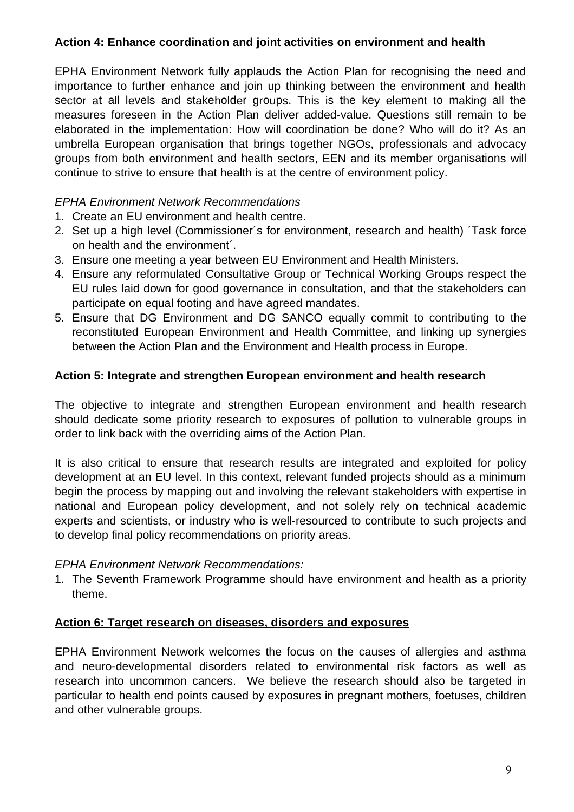# **Action 4: Enhance coordination and joint activities on environment and health**

EPHA Environment Network fully applauds the Action Plan for recognising the need and importance to further enhance and join up thinking between the environment and health sector at all levels and stakeholder groups. This is the key element to making all the measures foreseen in the Action Plan deliver added-value. Questions still remain to be elaborated in the implementation: How will coordination be done? Who will do it? As an umbrella European organisation that brings together NGOs, professionals and advocacy groups from both environment and health sectors, EEN and its member organisations will continue to strive to ensure that health is at the centre of environment policy.

## EPHA Environment Network Recommendations

- 1. Create an EU environment and health centre.
- 2. Set up a high level (Commissioner´s for environment, research and health) ´Task force on health and the environment´.
- 3. Ensure one meeting a year between EU Environment and Health Ministers.
- 4. Ensure any reformulated Consultative Group or Technical Working Groups respect the EU rules laid down for good governance in consultation, and that the stakeholders can participate on equal footing and have agreed mandates.
- 5. Ensure that DG Environment and DG SANCO equally commit to contributing to the reconstituted European Environment and Health Committee, and linking up synergies between the Action Plan and the Environment and Health process in Europe.

## **Action 5: Integrate and strengthen European environment and health research**

The objective to integrate and strengthen European environment and health research should dedicate some priority research to exposures of pollution to vulnerable groups in order to link back with the overriding aims of the Action Plan.

It is also critical to ensure that research results are integrated and exploited for policy development at an EU level. In this context, relevant funded projects should as a minimum begin the process by mapping out and involving the relevant stakeholders with expertise in national and European policy development, and not solely rely on technical academic experts and scientists, or industry who is well-resourced to contribute to such projects and to develop final policy recommendations on priority areas.

## EPHA Environment Network Recommendations:

1. The Seventh Framework Programme should have environment and health as a priority theme.

## **Action 6: Target research on diseases, disorders and exposures**

EPHA Environment Network welcomes the focus on the causes of allergies and asthma and neuro-developmental disorders related to environmental risk factors as well as research into uncommon cancers. We believe the research should also be targeted in particular to health end points caused by exposures in pregnant mothers, foetuses, children and other vulnerable groups.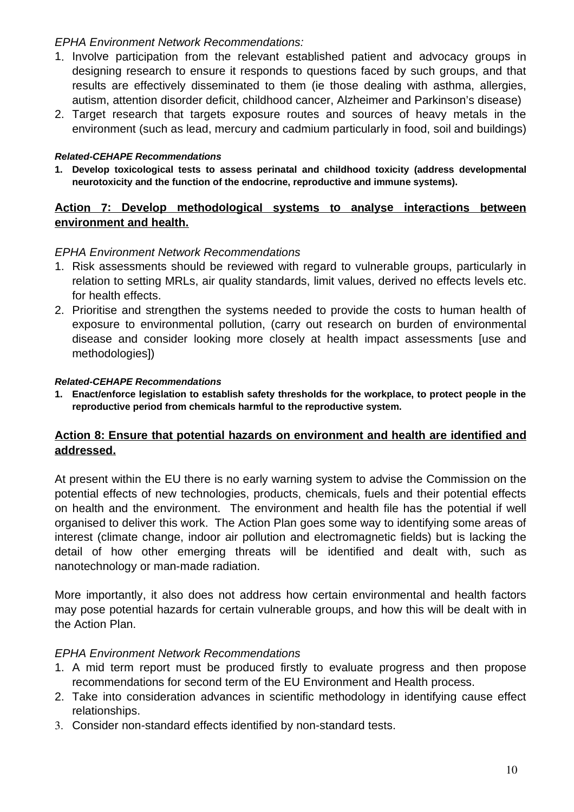## EPHA Environment Network Recommendations:

- 1. Involve participation from the relevant established patient and advocacy groups in designing research to ensure it responds to questions faced by such groups, and that results are effectively disseminated to them (ie those dealing with asthma, allergies, autism, attention disorder deficit, childhood cancer, Alzheimer and Parkinson's disease)
- 2. Target research that targets exposure routes and sources of heavy metals in the environment (such as lead, mercury and cadmium particularly in food, soil and buildings)

#### **Related-CEHAPE Recommendations**

**1. Develop toxicological tests to assess perinatal and childhood toxicity (address developmental neurotoxicity and the function of the endocrine, reproductive and immune systems).**

## **Action 7: Develop methodological systems to analyse interactions between environment and health.**

## EPHA Environment Network Recommendations

- 1. Risk assessments should be reviewed with regard to vulnerable groups, particularly in relation to setting MRLs, air quality standards, limit values, derived no effects levels etc. for health effects.
- 2. Prioritise and strengthen the systems needed to provide the costs to human health of exposure to environmental pollution, (carry out research on burden of environmental disease and consider looking more closely at health impact assessments [use and methodologies])

#### **Related-CEHAPE Recommendations**

**1. Enact/enforce legislation to establish safety thresholds for the workplace, to protect people in the reproductive period from chemicals harmful to the reproductive system.**

## **Action 8: Ensure that potential hazards on environment and health are identified and addressed.**

At present within the EU there is no early warning system to advise the Commission on the potential effects of new technologies, products, chemicals, fuels and their potential effects on health and the environment. The environment and health file has the potential if well organised to deliver this work. The Action Plan goes some way to identifying some areas of interest (climate change, indoor air pollution and electromagnetic fields) but is lacking the detail of how other emerging threats will be identified and dealt with, such as nanotechnology or man-made radiation.

More importantly, it also does not address how certain environmental and health factors may pose potential hazards for certain vulnerable groups, and how this will be dealt with in the Action Plan.

## EPHA Environment Network Recommendations

- 1. A mid term report must be produced firstly to evaluate progress and then propose recommendations for second term of the EU Environment and Health process.
- 2. Take into consideration advances in scientific methodology in identifying cause effect relationships.
- 3. Consider non-standard effects identified by non-standard tests.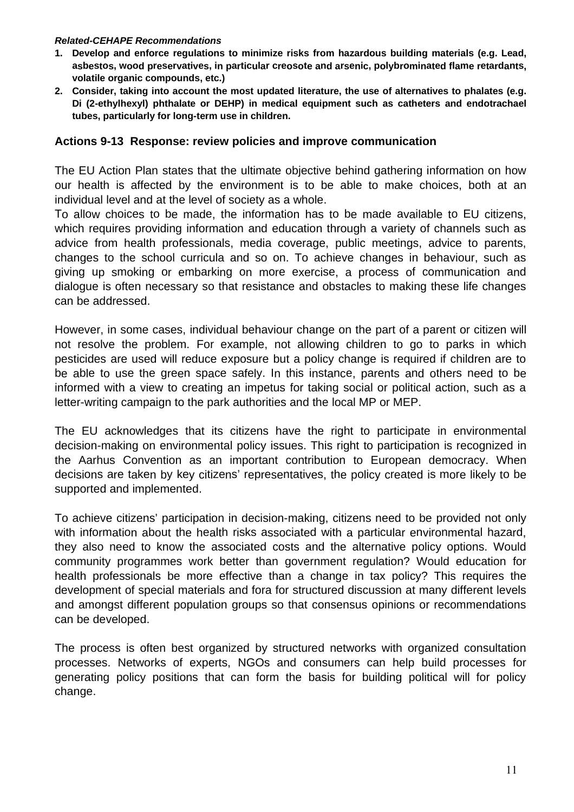#### **Related-CEHAPE Recommendations**

- **1. Develop and enforce regulations to minimize risks from hazardous building materials (e.g. Lead, asbestos, wood preservatives, in particular creosote and arsenic, polybrominated flame retardants, volatile organic compounds, etc.)**
- **2. Consider, taking into account the most updated literature, the use of alternatives to phalates (e.g. Di (2-ethylhexyl) phthalate or DEHP) in medical equipment such as catheters and endotrachael tubes, particularly for long-term use in children.**

#### **Actions 9-13 Response: review policies and improve communication**

The EU Action Plan states that the ultimate objective behind gathering information on how our health is affected by the environment is to be able to make choices, both at an individual level and at the level of society as a whole.

To allow choices to be made, the information has to be made available to EU citizens, which requires providing information and education through a variety of channels such as advice from health professionals, media coverage, public meetings, advice to parents, changes to the school curricula and so on. To achieve changes in behaviour, such as giving up smoking or embarking on more exercise, a process of communication and dialogue is often necessary so that resistance and obstacles to making these life changes can be addressed.

However, in some cases, individual behaviour change on the part of a parent or citizen will not resolve the problem. For example, not allowing children to go to parks in which pesticides are used will reduce exposure but a policy change is required if children are to be able to use the green space safely. In this instance, parents and others need to be informed with a view to creating an impetus for taking social or political action, such as a letter-writing campaign to the park authorities and the local MP or MEP.

The EU acknowledges that its citizens have the right to participate in environmental decision-making on environmental policy issues. This right to participation is recognized in the Aarhus Convention as an important contribution to European democracy. When decisions are taken by key citizens' representatives, the policy created is more likely to be supported and implemented.

To achieve citizens' participation in decision-making, citizens need to be provided not only with information about the health risks associated with a particular environmental hazard, they also need to know the associated costs and the alternative policy options. Would community programmes work better than government regulation? Would education for health professionals be more effective than a change in tax policy? This requires the development of special materials and fora for structured discussion at many different levels and amongst different population groups so that consensus opinions or recommendations can be developed.

The process is often best organized by structured networks with organized consultation processes. Networks of experts, NGOs and consumers can help build processes for generating policy positions that can form the basis for building political will for policy change.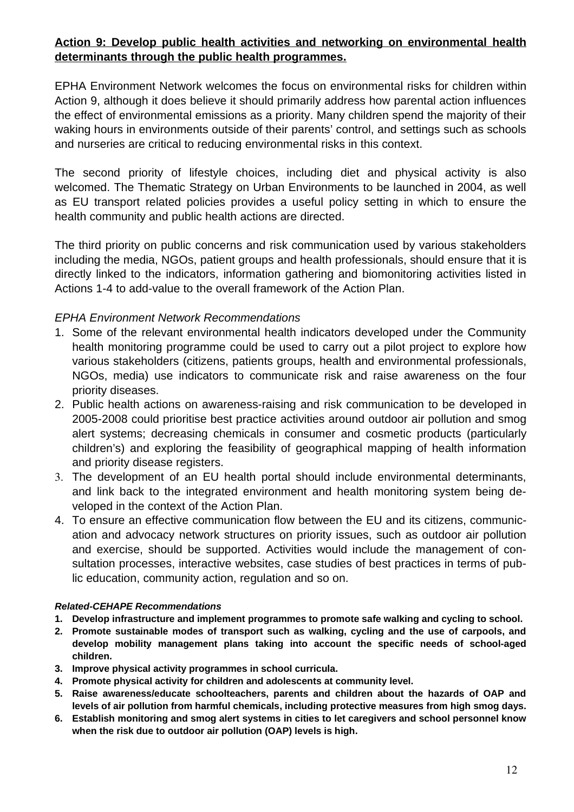# **Action 9: Develop public health activities and networking on environmental health determinants through the public health programmes.**

EPHA Environment Network welcomes the focus on environmental risks for children within Action 9, although it does believe it should primarily address how parental action influences the effect of environmental emissions as a priority. Many children spend the majority of their waking hours in environments outside of their parents' control, and settings such as schools and nurseries are critical to reducing environmental risks in this context.

The second priority of lifestyle choices, including diet and physical activity is also welcomed. The Thematic Strategy on Urban Environments to be launched in 2004, as well as EU transport related policies provides a useful policy setting in which to ensure the health community and public health actions are directed.

The third priority on public concerns and risk communication used by various stakeholders including the media, NGOs, patient groups and health professionals, should ensure that it is directly linked to the indicators, information gathering and biomonitoring activities listed in Actions 1-4 to add-value to the overall framework of the Action Plan.

## EPHA Environment Network Recommendations

- 1. Some of the relevant environmental health indicators developed under the Community health monitoring programme could be used to carry out a pilot project to explore how various stakeholders (citizens, patients groups, health and environmental professionals, NGOs, media) use indicators to communicate risk and raise awareness on the four priority diseases.
- 2. Public health actions on awareness-raising and risk communication to be developed in 2005-2008 could prioritise best practice activities around outdoor air pollution and smog alert systems; decreasing chemicals in consumer and cosmetic products (particularly children's) and exploring the feasibility of geographical mapping of health information and priority disease registers.
- 3. The development of an EU health portal should include environmental determinants, and link back to the integrated environment and health monitoring system being developed in the context of the Action Plan.
- 4. To ensure an effective communication flow between the EU and its citizens, communication and advocacy network structures on priority issues, such as outdoor air pollution and exercise, should be supported. Activities would include the management of consultation processes, interactive websites, case studies of best practices in terms of public education, community action, regulation and so on.

#### **Related-CEHAPE Recommendations**

- **1. Develop infrastructure and implement programmes to promote safe walking and cycling to school.**
- **2. Promote sustainable modes of transport such as walking, cycling and the use of carpools, and develop mobility management plans taking into account the specific needs of school-aged children.**
- **3. Improve physical activity programmes in school curricula.**
- **4. Promote physical activity for children and adolescents at community level.**
- **5. Raise awareness/educate schoolteachers, parents and children about the hazards of OAP and levels of air pollution from harmful chemicals, including protective measures from high smog days.**
- **6. Establish monitoring and smog alert systems in cities to let caregivers and school personnel know when the risk due to outdoor air pollution (OAP) levels is high.**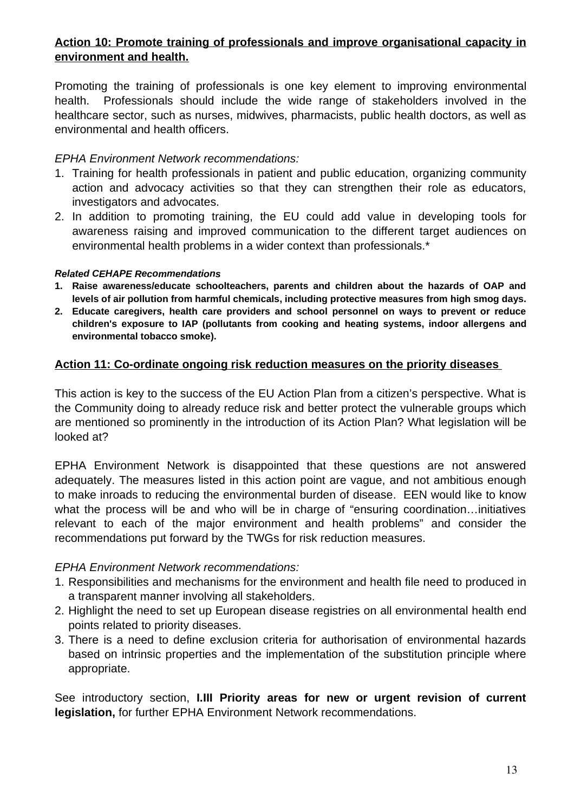# **Action 10: Promote training of professionals and improve organisational capacity in environment and health.**

Promoting the training of professionals is one key element to improving environmental health. Professionals should include the wide range of stakeholders involved in the healthcare sector, such as nurses, midwives, pharmacists, public health doctors, as well as environmental and health officers.

## EPHA Environment Network recommendations:

- 1. Training for health professionals in patient and public education, organizing community action and advocacy activities so that they can strengthen their role as educators, investigators and advocates.
- 2. In addition to promoting training, the EU could add value in developing tools for awareness raising and improved communication to the different target audiences on environmental health problems in a wider context than professionals.\*

#### **Related CEHAPE Recommendations**

- **1. Raise awareness/educate schoolteachers, parents and children about the hazards of OAP and levels of air pollution from harmful chemicals, including protective measures from high smog days.**
- **2. Educate caregivers, health care providers and school personnel on ways to prevent or reduce children's exposure to IAP (pollutants from cooking and heating systems, indoor allergens and environmental tobacco smoke).**

## **Action 11: Co-ordinate ongoing risk reduction measures on the priority diseases**

This action is key to the success of the EU Action Plan from a citizen's perspective. What is the Community doing to already reduce risk and better protect the vulnerable groups which are mentioned so prominently in the introduction of its Action Plan? What legislation will be looked at?

EPHA Environment Network is disappointed that these questions are not answered adequately. The measures listed in this action point are vague, and not ambitious enough to make inroads to reducing the environmental burden of disease. EEN would like to know what the process will be and who will be in charge of "ensuring coordination...initiatives relevant to each of the major environment and health problems" and consider the recommendations put forward by the TWGs for risk reduction measures.

## EPHA Environment Network recommendations:

- 1. Responsibilities and mechanisms for the environment and health file need to produced in a transparent manner involving all stakeholders.
- 2. Highlight the need to set up European disease registries on all environmental health end points related to priority diseases.
- 3. There is a need to define exclusion criteria for authorisation of environmental hazards based on intrinsic properties and the implementation of the substitution principle where appropriate.

See introductory section, **I.III Priority areas for new or urgent revision of current legislation,** for further EPHA Environment Network recommendations.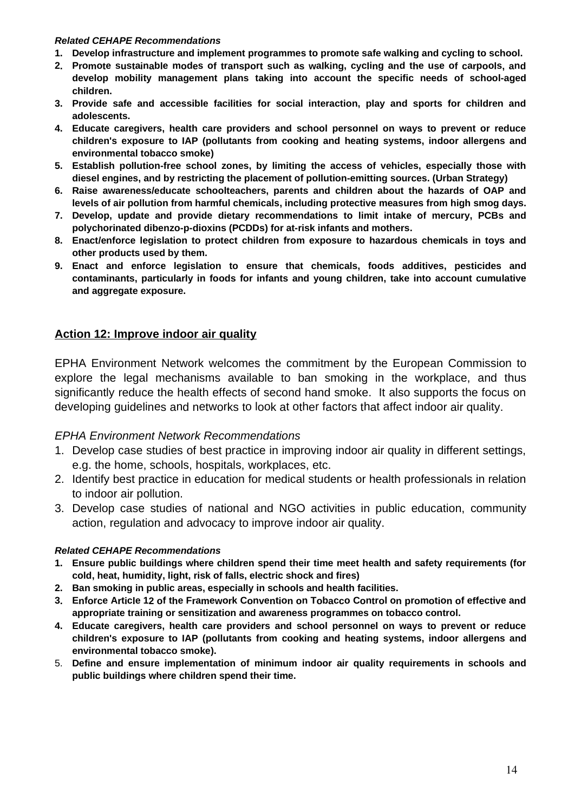#### **Related CEHAPE Recommendations**

- **1. Develop infrastructure and implement programmes to promote safe walking and cycling to school.**
- **2. Promote sustainable modes of transport such as walking, cycling and the use of carpools, and develop mobility management plans taking into account the specific needs of school-aged children.**
- **3. Provide safe and accessible facilities for social interaction, play and sports for children and adolescents.**
- **4. Educate caregivers, health care providers and school personnel on ways to prevent or reduce children's exposure to IAP (pollutants from cooking and heating systems, indoor allergens and environmental tobacco smoke)**
- **5. Establish pollution-free school zones, by limiting the access of vehicles, especially those with diesel engines, and by restricting the placement of pollution-emitting sources. (Urban Strategy)**
- **6. Raise awareness/educate schoolteachers, parents and children about the hazards of OAP and levels of air pollution from harmful chemicals, including protective measures from high smog days.**
- **7. Develop, update and provide dietary recommendations to limit intake of mercury, PCBs and polychorinated dibenzo-p-dioxins (PCDDs) for at-risk infants and mothers.**
- **8. Enact/enforce legislation to protect children from exposure to hazardous chemicals in toys and other products used by them.**
- **9. Enact and enforce legislation to ensure that chemicals, foods additives, pesticides and contaminants, particularly in foods for infants and young children, take into account cumulative and aggregate exposure.**

## **Action 12: Improve indoor air quality**

EPHA Environment Network welcomes the commitment by the European Commission to explore the legal mechanisms available to ban smoking in the workplace, and thus significantly reduce the health effects of second hand smoke. It also supports the focus on developing guidelines and networks to look at other factors that affect indoor air quality.

## EPHA Environment Network Recommendations

- 1. Develop case studies of best practice in improving indoor air quality in different settings, e.g. the home, schools, hospitals, workplaces, etc.
- 2. Identify best practice in education for medical students or health professionals in relation to indoor air pollution.
- 3. Develop case studies of national and NGO activities in public education, community action, regulation and advocacy to improve indoor air quality.

#### **Related CEHAPE Recommendations**

- **1. Ensure public buildings where children spend their time meet health and safety requirements (for cold, heat, humidity, light, risk of falls, electric shock and fires)**
- **2. Ban smoking in public areas, especially in schools and health facilities.**
- **3. Enforce Article 12 of the Framework Convention on Tobacco Control on promotion of effective and appropriate training or sensitization and awareness programmes on tobacco control.**
- **4. Educate caregivers, health care providers and school personnel on ways to prevent or reduce children's exposure to IAP (pollutants from cooking and heating systems, indoor allergens and environmental tobacco smoke).**
- 5. **Define and ensure implementation of minimum indoor air quality requirements in schools and public buildings where children spend their time.**